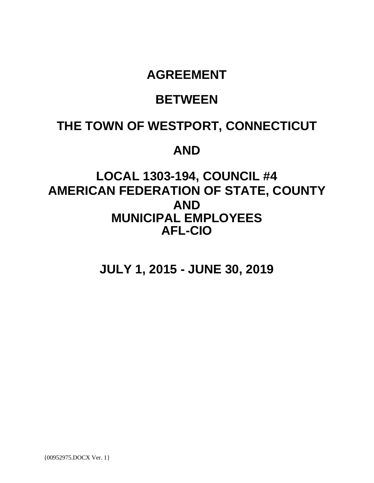# **AGREEMENT**

# **BETWEEN**

# **THE TOWN OF WESTPORT, CONNECTICUT**

# **AND**

# **LOCAL 1303-194, COUNCIL #4 AMERICAN FEDERATION OF STATE, COUNTY AND MUNICIPAL EMPLOYEES AFL-CIO**

**JULY 1, 2015 - JUNE 30, 2019**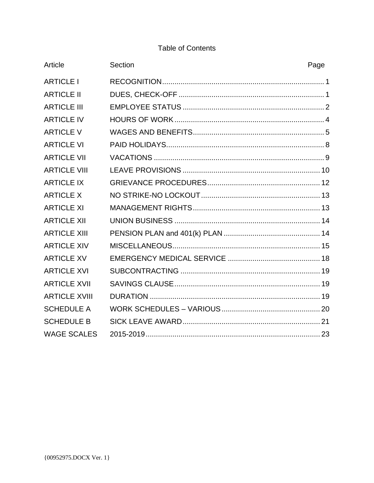# **Table of Contents**

| Article              | Section | Page |
|----------------------|---------|------|
| <b>ARTICLE I</b>     |         |      |
| <b>ARTICLE II</b>    |         |      |
| <b>ARTICLE III</b>   |         |      |
| <b>ARTICLE IV</b>    |         |      |
| <b>ARTICLE V</b>     |         |      |
| <b>ARTICLE VI</b>    |         |      |
| <b>ARTICLE VII</b>   |         |      |
| <b>ARTICLE VIII</b>  |         |      |
| <b>ARTICLE IX</b>    |         |      |
| <b>ARTICLE X</b>     |         |      |
| <b>ARTICLE XI</b>    |         |      |
| <b>ARTICLE XII</b>   |         |      |
| <b>ARTICLE XIII</b>  |         |      |
| <b>ARTICLE XIV</b>   |         |      |
| <b>ARTICLE XV</b>    |         |      |
| <b>ARTICLE XVI</b>   |         |      |
| <b>ARTICLE XVII</b>  |         |      |
| <b>ARTICLE XVIII</b> |         |      |
| <b>SCHEDULE A</b>    |         |      |
| <b>SCHEDULE B</b>    |         |      |
| <b>WAGE SCALES</b>   |         |      |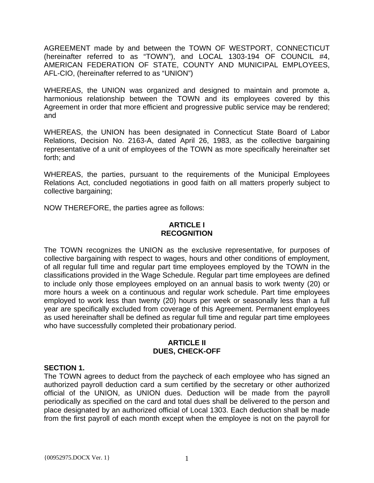AGREEMENT made by and between the TOWN OF WESTPORT, CONNECTICUT (hereinafter referred to as "TOWN"), and LOCAL 1303-194 OF COUNCIL #4, AMERICAN FEDERATION OF STATE, COUNTY AND MUNICIPAL EMPLOYEES, AFL-CIO, (hereinafter referred to as "UNION")

WHEREAS, the UNION was organized and designed to maintain and promote a, harmonious relationship between the TOWN and its employees covered by this Agreement in order that more efficient and progressive public service may be rendered; and

WHEREAS, the UNION has been designated in Connecticut State Board of Labor Relations, Decision No. 2163-A, dated April 26, 1983, as the collective bargaining representative of a unit of employees of the TOWN as more specifically hereinafter set forth; and

WHEREAS, the parties, pursuant to the requirements of the Municipal Employees Relations Act, concluded negotiations in good faith on all matters properly subject to collective bargaining;

NOW THEREFORE, the parties agree as follows:

# **ARTICLE I RECOGNITION**

The TOWN recognizes the UNION as the exclusive representative, for purposes of collective bargaining with respect to wages, hours and other conditions of employment, of all regular full time and regular part time employees employed by the TOWN in the classifications provided in the Wage Schedule. Regular part time employees are defined to include only those employees employed on an annual basis to work twenty (20) or more hours a week on a continuous and regular work schedule. Part time employees employed to work less than twenty (20) hours per week or seasonally less than a full year are specifically excluded from coverage of this Agreement. Permanent employees as used hereinafter shall be defined as regular full time and regular part time employees who have successfully completed their probationary period.

# **ARTICLE II DUES, CHECK-OFF**

# **SECTION 1.**

The TOWN agrees to deduct from the paycheck of each employee who has signed an authorized payroll deduction card a sum certified by the secretary or other authorized official of the UNION, as UNION dues. Deduction will be made from the payroll periodically as specified on the card and total dues shall be delivered to the person and place designated by an authorized official of Local 1303. Each deduction shall be made from the first payroll of each month except when the employee is not on the payroll for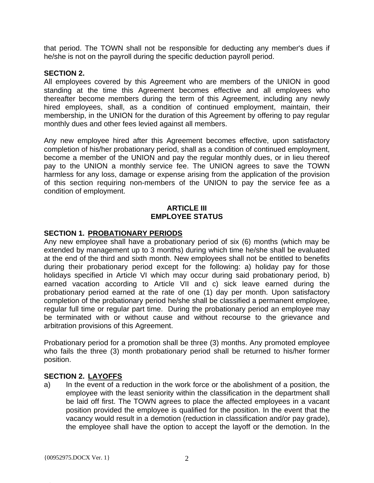that period. The TOWN shall not be responsible for deducting any member's dues if he/she is not on the payroll during the specific deduction payroll period.

# **SECTION 2.**

All employees covered by this Agreement who are members of the UNION in good standing at the time this Agreement becomes effective and all employees who thereafter become members during the term of this Agreement, including any newly hired employees, shall, as a condition of continued employment, maintain, their membership, in the UNION for the duration of this Agreement by offering to pay regular monthly dues and other fees levied against all members.

Any new employee hired after this Agreement becomes effective, upon satisfactory completion of his/her probationary period, shall as a condition of continued employment, become a member of the UNION and pay the regular monthly dues, or in lieu thereof pay to the UNION a monthly service fee. The UNION agrees to save the TOWN harmless for any loss, damage or expense arising from the application of the provision of this section requiring non-members of the UNION to pay the service fee as a condition of employment.

# **ARTICLE III EMPLOYEE STATUS**

# **SECTION 1. PROBATIONARY PERIODS**

Any new employee shall have a probationary period of six (6) months (which may be extended by management up to 3 months) during which time he/she shall be evaluated at the end of the third and sixth month. New employees shall not be entitled to benefits during their probationary period except for the following: a) holiday pay for those holidays specified in Article VI which may occur during said probationary period, b) earned vacation according to Article VII and c) sick leave earned during the probationary period earned at the rate of one (1) day per month. Upon satisfactory completion of the probationary period he/she shall be classified a permanent employee, regular full time or regular part time. During the probationary period an employee may be terminated with or without cause and without recourse to the grievance and arbitration provisions of this Agreement.

Probationary period for a promotion shall be three (3) months. Any promoted employee who fails the three (3) month probationary period shall be returned to his/her former position.

# **SECTION 2. LAYOFFS**

a) In the event of a reduction in the work force or the abolishment of a position, the employee with the least seniority within the classification in the department shall be laid off first. The TOWN agrees to place the affected employees in a vacant position provided the employee is qualified for the position. In the event that the vacancy would result in a demotion (reduction in classification and/or pay grade), the employee shall have the option to accept the layoff or the demotion. In the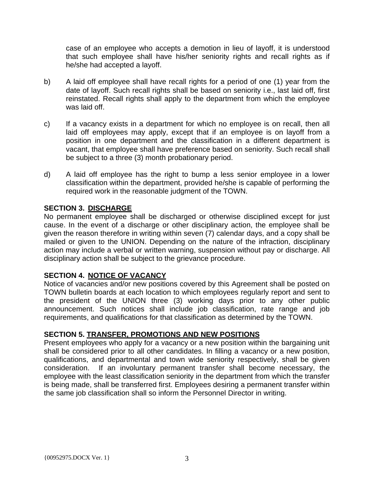case of an employee who accepts a demotion in lieu of layoff, it is understood that such employee shall have his/her seniority rights and recall rights as if he/she had accepted a layoff.

- b) A laid off employee shall have recall rights for a period of one (1) year from the date of layoff. Such recall rights shall be based on seniority i.e., last laid off, first reinstated. Recall rights shall apply to the department from which the employee was laid off.
- c) If a vacancy exists in a department for which no employee is on recall, then all laid off employees may apply, except that if an employee is on layoff from a position in one department and the classification in a different department is vacant, that employee shall have preference based on seniority. Such recall shall be subject to a three (3) month probationary period.
- d) A laid off employee has the right to bump a less senior employee in a lower classification within the department, provided he/she is capable of performing the required work in the reasonable judgment of the TOWN.

# **SECTION 3. DISCHARGE**

No permanent employee shall be discharged or otherwise disciplined except for just cause. In the event of a discharge or other disciplinary action, the employee shall be given the reason therefore in writing within seven (7) calendar days, and a copy shall be mailed or given to the UNION. Depending on the nature of the infraction, disciplinary action may include a verbal or written warning, suspension without pay or discharge. All disciplinary action shall be subject to the grievance procedure.

# **SECTION 4. NOTICE OF VACANCY**

Notice of vacancies and/or new positions covered by this Agreement shall be posted on TOWN bulletin boards at each location to which employees regularly report and sent to the president of the UNION three (3) working days prior to any other public announcement. Such notices shall include job classification, rate range and job requirements, and qualifications for that classification as determined by the TOWN.

# **SECTION 5. TRANSFER, PROMOTIONS AND NEW POSITIONS**

Present employees who apply for a vacancy or a new position within the bargaining unit shall be considered prior to all other candidates. In filling a vacancy or a new position, qualifications, and departmental and town wide seniority respectively, shall be given consideration. If an involuntary permanent transfer shall become necessary, the employee with the least classification seniority in the department from which the transfer is being made, shall be transferred first. Employees desiring a permanent transfer within the same job classification shall so inform the Personnel Director in writing.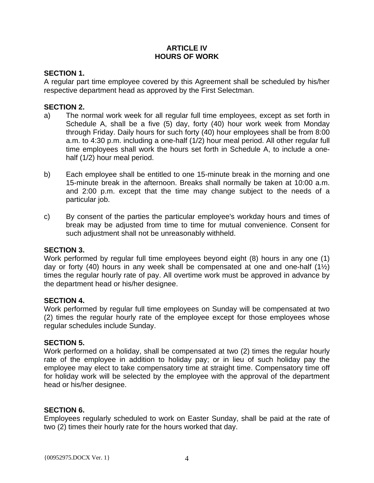# **ARTICLE IV HOURS OF WORK**

# **SECTION 1.**

A regular part time employee covered by this Agreement shall be scheduled by his/her respective department head as approved by the First Selectman.

# **SECTION 2.**

- a) The normal work week for all regular full time employees, except as set forth in Schedule A, shall be a five (5) day, forty (40) hour work week from Monday through Friday. Daily hours for such forty (40) hour employees shall be from 8:00 a.m. to 4:30 p.m. including a one-half (1/2) hour meal period. All other regular full time employees shall work the hours set forth in Schedule A, to include a onehalf (1/2) hour meal period.
- b) Each employee shall be entitled to one 15-minute break in the morning and one 15-minute break in the afternoon. Breaks shall normally be taken at 10:00 a.m. and 2:00 p.m. except that the time may change subject to the needs of a particular job.
- c) By consent of the parties the particular employee's workday hours and times of break may be adjusted from time to time for mutual convenience. Consent for such adjustment shall not be unreasonably withheld.

#### **SECTION 3.**

Work performed by regular full time employees beyond eight (8) hours in any one (1) day or forty (40) hours in any week shall be compensated at one and one-half ( $1\frac{1}{2}$ ) times the regular hourly rate of pay. All overtime work must be approved in advance by the department head or his/her designee.

#### **SECTION 4.**

Work performed by regular full time employees on Sunday will be compensated at two (2) times the regular hourly rate of the employee except for those employees whose regular schedules include Sunday.

#### **SECTION 5.**

Work performed on a holiday, shall be compensated at two (2) times the regular hourly rate of the employee in addition to holiday pay; or in lieu of such holiday pay the employee may elect to take compensatory time at straight time. Compensatory time off for holiday work will be selected by the employee with the approval of the department head or his/her designee.

#### **SECTION 6.**

Employees regularly scheduled to work on Easter Sunday, shall be paid at the rate of two (2) times their hourly rate for the hours worked that day.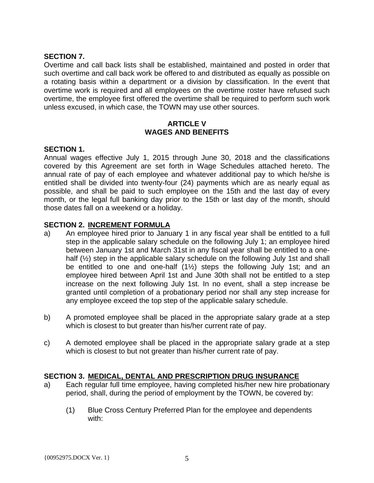# **SECTION 7.**

Overtime and call back lists shall be established, maintained and posted in order that such overtime and call back work be offered to and distributed as equally as possible on a rotating basis within a department or a division by classification. In the event that overtime work is required and all employees on the overtime roster have refused such overtime, the employee first offered the overtime shall be required to perform such work unless excused, in which case, the TOWN may use other sources.

# **ARTICLE V WAGES AND BENEFITS**

# **SECTION 1.**

Annual wages effective July 1, 2015 through June 30, 2018 and the classifications covered by this Agreement are set forth in Wage Schedules attached hereto. The annual rate of pay of each employee and whatever additional pay to which he/she is entitled shall be divided into twenty-four (24) payments which are as nearly equal as possible, and shall be paid to such employee on the 15th and the last day of every month, or the legal full banking day prior to the 15th or last day of the month, should those dates fall on a weekend or a holiday.

# **SECTION 2. INCREMENT FORMULA**

- a) An employee hired prior to January 1 in any fiscal year shall be entitled to a full step in the applicable salary schedule on the following July 1; an employee hired between January 1st and March 31st in any fiscal year shall be entitled to a onehalf (1/2) step in the applicable salary schedule on the following July 1st and shall be entitled to one and one-half (1½) steps the following July 1st; and an employee hired between April 1st and June 30th shall not be entitled to a step increase on the next following July 1st. In no event, shall a step increase be granted until completion of a probationary period nor shall any step increase for any employee exceed the top step of the applicable salary schedule.
- b) A promoted employee shall be placed in the appropriate salary grade at a step which is closest to but greater than his/her current rate of pay.
- c) A demoted employee shall be placed in the appropriate salary grade at a step which is closest to but not greater than his/her current rate of pay.

# **SECTION 3. MEDICAL, DENTAL AND PRESCRIPTION DRUG INSURANCE**

- a) Each regular full time employee, having completed his/her new hire probationary period, shall, during the period of employment by the TOWN, be covered by:
	- (1) Blue Cross Century Preferred Plan for the employee and dependents with: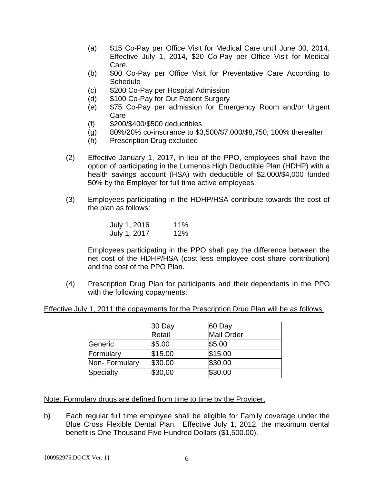- (a) \$15 Co-Pay per Office Visit for Medical Care until June 30, 2014. Effective July 1, 2014, \$20 Co-Pay per Office Visit for Medical Care.
- (b) \$00 Co-Pay per Office Visit for Preventative Care According to **Schedule**
- (c) \$200 Co-Pay per Hospital Admission
- (d) \$100 Co-Pay for Out Patient Surgery
- (e) \$75 Co-Pay per admission for Emergency Room and/or Urgent Care
- (f) \$200/\$400/\$500 deductibles
- (g) 80%/20% co-insurance to \$3,500/\$7,000/\$8,750; 100% thereafter
- (h) Prescription Drug excluded
- (2) Effective January 1, 2017, in lieu of the PPO, employees shall have the option of participating in the Lumenos High Deductible Plan (HDHP) with a health savings account (HSA) with deductible of \$2,000/\$4,000 funded 50% by the Employer for full time active employees.
- (3) Employees participating in the HDHP/HSA contribute towards the cost of the plan as follows:

| July 1, 2016 | 11% |
|--------------|-----|
| July 1, 2017 | 12% |

Employees participating in the PPO shall pay the difference between the net cost of the HDHP/HSA (cost less employee cost share contribution) and the cost of the PPO Plan.

(4) Prescription Drug Plan for participants and their dependents in the PPO with the following copayments:

Effective July 1, 2011 the copayments for the Prescription Drug Plan will be as follows:

|               | 30 Day  | 60 Day            |
|---------------|---------|-------------------|
|               | Retail  | <b>Mail Order</b> |
| Generic       | \$5.00  | \$5.00            |
| Formulary     | \$15.00 | \$15.00           |
| Non-Formulary | \$30.00 | \$30.00           |
| Specialty     | \$30,00 | \$30.00           |

Note: Formulary drugs are defined from time to time by the Provider.

b) Each regular full time employee shall be eligible for Family coverage under the Blue Cross Flexible Dental Plan. Effective July 1, 2012, the maximum dental benefit is One Thousand Five Hundred Dollars (\$1,500.00).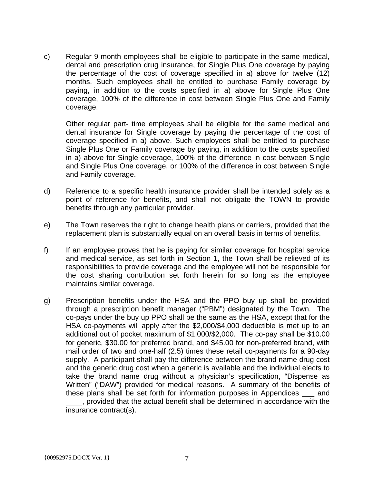c) Regular 9-month employees shall be eligible to participate in the same medical, dental and prescription drug insurance, for Single Plus One coverage by paying the percentage of the cost of coverage specified in a) above for twelve (12) months. Such employees shall be entitled to purchase Family coverage by paying, in addition to the costs specified in a) above for Single Plus One coverage, 100% of the difference in cost between Single Plus One and Family coverage.

Other regular part- time employees shall be eligible for the same medical and dental insurance for Single coverage by paying the percentage of the cost of coverage specified in a) above. Such employees shall be entitled to purchase Single Plus One or Family coverage by paying, in addition to the costs specified in a) above for Single coverage, 100% of the difference in cost between Single and Single Plus One coverage, or 100% of the difference in cost between Single and Family coverage.

- d) Reference to a specific health insurance provider shall be intended solely as a point of reference for benefits, and shall not obligate the TOWN to provide benefits through any particular provider.
- e) The Town reserves the right to change health plans or carriers, provided that the replacement plan is substantially equal on an overall basis in terms of benefits.
- f) If an employee proves that he is paying for similar coverage for hospital service and medical service, as set forth in Section 1, the Town shall be relieved of its responsibilities to provide coverage and the employee will not be responsible for the cost sharing contribution set forth herein for so long as the employee maintains similar coverage.
- g) Prescription benefits under the HSA and the PPO buy up shall be provided through a prescription benefit manager ("PBM") designated by the Town. The co-pays under the buy up PPO shall be the same as the HSA, except that for the HSA co-payments will apply after the \$2,000/\$4,000 deductible is met up to an additional out of pocket maximum of \$1,000/\$2,000. The co-pay shall be \$10.00 for generic, \$30.00 for preferred brand, and \$45.00 for non-preferred brand, with mail order of two and one-half (2.5) times these retail co-payments for a 90-day supply. A participant shall pay the difference between the brand name drug cost and the generic drug cost when a generic is available and the individual elects to take the brand name drug without a physician's specification, "Dispense as Written" ("DAW") provided for medical reasons. A summary of the benefits of these plans shall be set forth for information purposes in Appendices \_\_\_ and \_\_\_\_, provided that the actual benefit shall be determined in accordance with the insurance contract(s).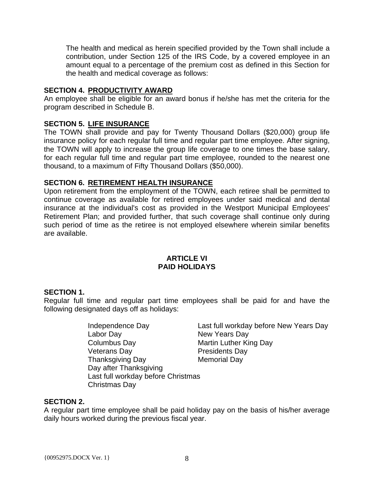The health and medical as herein specified provided by the Town shall include a contribution, under Section 125 of the IRS Code, by a covered employee in an amount equal to a percentage of the premium cost as defined in this Section for the health and medical coverage as follows:

# **SECTION 4. PRODUCTIVITY AWARD**

An employee shall be eligible for an award bonus if he/she has met the criteria for the program described in Schedule B.

# **SECTION 5. LIFE INSURANCE**

The TOWN shall provide and pay for Twenty Thousand Dollars (\$20,000) group life insurance policy for each regular full time and regular part time employee. After signing, the TOWN will apply to increase the group life coverage to one times the base salary, for each regular full time and regular part time employee, rounded to the nearest one thousand, to a maximum of Fifty Thousand Dollars (\$50,000).

# **SECTION 6. RETIREMENT HEALTH INSURANCE**

Upon retirement from the employment of the TOWN, each retiree shall be permitted to continue coverage as available for retired employees under said medical and dental insurance at the individual's cost as provided in the Westport Municipal Employees' Retirement Plan; and provided further, that such coverage shall continue only during such period of time as the retiree is not employed elsewhere wherein similar benefits are available.

# **ARTICLE VI PAID HOLIDAYS**

# **SECTION 1.**

Regular full time and regular part time employees shall be paid for and have the following designated days off as holidays:

> Labor Day New Years Day<br>Columbus Day Martin Luther Kir<br>Presidents Day Veterans Day **Presidents** Day Thanksgiving Day **Memorial Day** Day after Thanksgiving Last full workday before Christmas Christmas Day

Independence Day Last full workday before New Years Day **Martin Luther King Day** 

# **SECTION 2.**

A regular part time employee shall be paid holiday pay on the basis of his/her average daily hours worked during the previous fiscal year.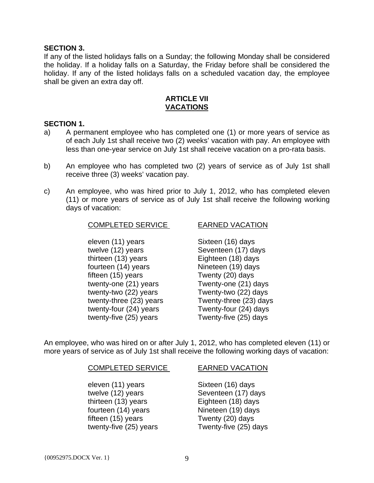#### **SECTION 3.**

If any of the listed holidays falls on a Sunday; the following Monday shall be considered the holiday. If a holiday falls on a Saturday, the Friday before shall be considered the holiday. If any of the listed holidays falls on a scheduled vacation day, the employee shall be given an extra day off.

#### **ARTICLE VII VACATIONS**

#### **SECTION 1.**

- a) A permanent employee who has completed one (1) or more years of service as of each July 1st shall receive two (2) weeks' vacation with pay. An employee with less than one-year service on July 1st shall receive vacation on a pro-rata basis.
- b) An employee who has completed two (2) years of service as of July 1st shall receive three (3) weeks' vacation pay.
- c) An employee, who was hired prior to July 1, 2012, who has completed eleven (11) or more years of service as of July 1st shall receive the following working days of vacation:

#### COMPLETED SERVICE EARNED VACATION

# eleven (11) years Sixteen (16) days twelve (12) years Seventeen (17) days thirteen (13) years Eighteen (18) days fourteen (14) years Nineteen (19) days fifteen (15) years Twenty (20) days twenty-one (21) years Twenty-one (21) days twenty-two (22) years Twenty-two (22) days twenty-three (23) years Twenty-three (23) days twenty-four (24) years Twenty-four (24) days twenty-five (25) years Twenty-five (25) days

An employee, who was hired on or after July 1, 2012, who has completed eleven (11) or more years of service as of July 1st shall receive the following working days of vacation:

#### COMPLETED SERVICE EARNED VACATION

eleven (11) years Sixteen (16) days twelve (12) years Seventeen (17) days thirteen (13) years Eighteen (18) days fourteen (14) years Nineteen (19) days fifteen (15) years Twenty (20) days

twenty-five (25) years Twenty-five (25) days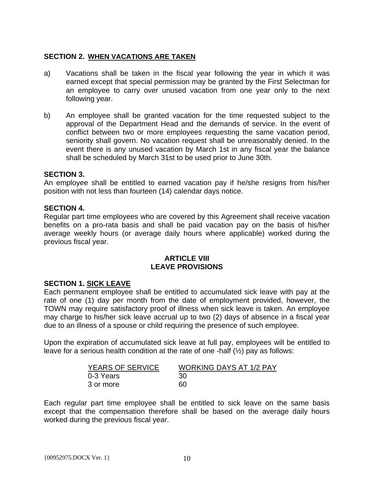# **SECTION 2. WHEN VACATIONS ARE TAKEN**

- a) Vacations shall be taken in the fiscal year following the year in which it was earned except that special permission may be granted by the First Selectman for an employee to carry over unused vacation from one year only to the next following year.
- b) An employee shall be granted vacation for the time requested subject to the approval of the Department Head and the demands of service. In the event of conflict between two or more employees requesting the same vacation period, seniority shall govern. No vacation request shall be unreasonably denied. In the event there is any unused vacation by March 1st in any fiscal year the balance shall be scheduled by March 31st to be used prior to June 30th.

# **SECTION 3.**

An employee shall be entitled to earned vacation pay if he/she resigns from his/her position with not less than fourteen (14) calendar days notice.

# **SECTION 4.**

Regular part time employees who are covered by this Agreement shall receive vacation benefits on a pro-rata basis and shall be paid vacation pay on the basis of his/her average weekly hours (or average daily hours where applicable) worked during the previous fiscal year.

#### **ARTICLE VIII LEAVE PROVISIONS**

# **SECTION 1. SICK LEAVE**

Each permanent employee shall be entitled to accumulated sick leave with pay at the rate of one (1) day per month from the date of employment provided, however, the TOWN may require satisfactory proof of illness when sick leave is taken. An employee may charge to his/her sick leave accrual up to two (2) days of absence in a fiscal year due to an illness of a spouse or child requiring the presence of such employee.

Upon the expiration of accumulated sick leave at full pay, employees will be entitled to leave for a serious health condition at the rate of one -half (½) pay as follows:

| <b>YEARS OF SERVICE</b> | <b>WORKING DAYS AT 1/2 PAY</b> |
|-------------------------|--------------------------------|
| 0-3 Years               | 30                             |
| 3 or more               | 60                             |

Each regular part time employee shall be entitled to sick leave on the same basis except that the compensation therefore shall be based on the average daily hours worked during the previous fiscal year.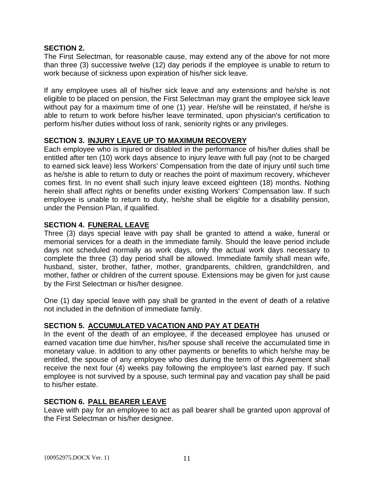# **SECTION 2.**

The First Selectman, for reasonable cause, may extend any of the above for not more than three (3) successive twelve (12) day periods if the employee is unable to return to work because of sickness upon expiration of his/her sick leave.

If any employee uses all of his/her sick leave and any extensions and he/she is not eligible to be placed on pension, the First Selectman may grant the employee sick leave without pay for a maximum time of one (1) year. He/she will be reinstated, if he/she is able to return to work before his/her leave terminated, upon physician's certification to perform his/her duties without loss of rank, seniority rights or any privileges.

# **SECTION 3. INJURY LEAVE UP TO MAXIMUM RECOVERY**

Each employee who is injured or disabled in the performance of his/her duties shall be entitled after ten (10) work days absence to injury leave with full pay (not to be charged to earned sick leave) less Workers' Compensation from the date of injury until such time as he/she is able to return to duty or reaches the point of maximum recovery, whichever comes first. In no event shall such injury leave exceed eighteen (18) months. Nothing herein shall affect rights or benefits under existing Workers' Compensation law. If such employee is unable to return to duty, he/she shall be eligible for a disability pension, under the Pension Plan, if qualified.

# **SECTION 4. FUNERAL LEAVE**

Three (3) days special leave with pay shall be granted to attend a wake, funeral or memorial services for a death in the immediate family. Should the leave period include days not scheduled normally as work days, only the actual work days necessary to complete the three (3) day period shall be allowed. Immediate family shall mean wife, husband, sister, brother, father, mother, grandparents, children, grandchildren, and mother, father or children of the current spouse. Extensions may be given for just cause by the First Selectman or his/her designee.

One (1) day special leave with pay shall be granted in the event of death of a relative not included in the definition of immediate family.

# **SECTION 5. ACCUMULATED VACATION AND PAY AT DEATH**

In the event of the death of an employee, if the deceased employee has unused or earned vacation time due him/her, his/her spouse shall receive the accumulated time in monetary value. In addition to any other payments or benefits to which he/she may be entitled, the spouse of any employee who dies during the term of this Agreement shall receive the next four (4) weeks pay following the employee's last earned pay. If such employee is not survived by a spouse, such terminal pay and vacation pay shall be paid to his/her estate.

# **SECTION 6. PALL BEARER LEAVE**

Leave with pay for an employee to act as pall bearer shall be granted upon approval of the First Selectman or his/her designee.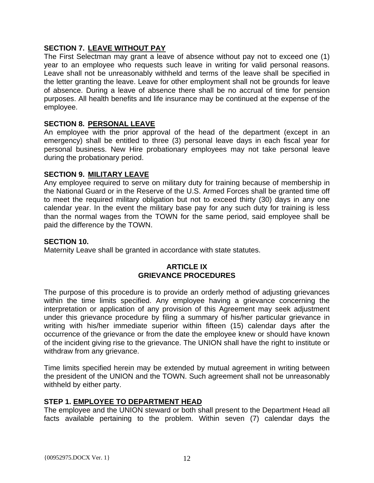# **SECTION 7. LEAVE WITHOUT PAY**

The First Selectman may grant a leave of absence without pay not to exceed one (1) year to an employee who requests such leave in writing for valid personal reasons. Leave shall not be unreasonably withheld and terms of the leave shall be specified in the letter granting the leave. Leave for other employment shall not be grounds for leave of absence. During a leave of absence there shall be no accrual of time for pension purposes. All health benefits and life insurance may be continued at the expense of the employee.

# **SECTION 8. PERSONAL LEAVE**

An employee with the prior approval of the head of the department (except in an emergency) shall be entitled to three (3) personal leave days in each fiscal year for personal business. New Hire probationary employees may not take personal leave during the probationary period.

# **SECTION 9. MILITARY LEAVE**

Any employee required to serve on military duty for training because of membership in the National Guard or in the Reserve of the U.S. Armed Forces shall be granted time off to meet the required military obligation but not to exceed thirty (30) days in any one calendar year. In the event the military base pay for any such duty for training is less than the normal wages from the TOWN for the same period, said employee shall be paid the difference by the TOWN.

# **SECTION 10.**

Maternity Leave shall be granted in accordance with state statutes.

# **ARTICLE IX GRIEVANCE PROCEDURES**

The purpose of this procedure is to provide an orderly method of adjusting grievances within the time limits specified. Any employee having a grievance concerning the interpretation or application of any provision of this Agreement may seek adjustment under this grievance procedure by filing a summary of his/her particular grievance in writing with his/her immediate superior within fifteen (15) calendar days after the occurrence of the grievance or from the date the employee knew or should have known of the incident giving rise to the grievance. The UNION shall have the right to institute or withdraw from any grievance.

Time limits specified herein may be extended by mutual agreement in writing between the president of the UNION and the TOWN. Such agreement shall not be unreasonably withheld by either party.

# **STEP 1. EMPLOYEE TO DEPARTMENT HEAD**

The employee and the UNION steward or both shall present to the Department Head all facts available pertaining to the problem. Within seven (7) calendar days the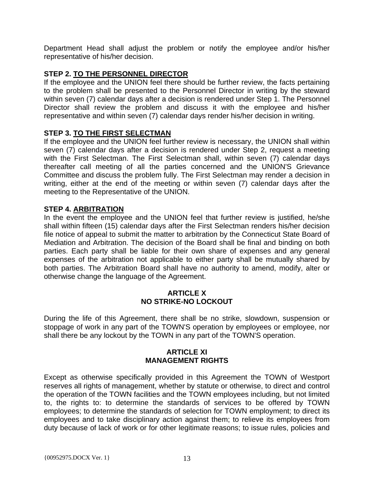Department Head shall adjust the problem or notify the employee and/or his/her representative of his/her decision.

# **STEP 2. TO THE PERSONNEL DIRECTOR**

If the employee and the UNION feel there should be further review, the facts pertaining to the problem shall be presented to the Personnel Director in writing by the steward within seven (7) calendar days after a decision is rendered under Step 1. The Personnel Director shall review the problem and discuss it with the employee and his/her representative and within seven (7) calendar days render his/her decision in writing.

# **STEP 3. TO THE FIRST SELECTMAN**

If the employee and the UNION feel further review is necessary, the UNION shall within seven (7) calendar days after a decision is rendered under Step 2, request a meeting with the First Selectman. The First Selectman shall, within seven (7) calendar days thereafter call meeting of all the parties concerned and the UNION'S Grievance Committee and discuss the problem fully. The First Selectman may render a decision in writing, either at the end of the meeting or within seven (7) calendar days after the meeting to the Representative of the UNION.

# **STEP 4. ARBITRATION**

In the event the employee and the UNION feel that further review is justified, he/she shall within fifteen (15) calendar days after the First Selectman renders his/her decision file notice of appeal to submit the matter to arbitration by the Connecticut State Board of Mediation and Arbitration. The decision of the Board shall be final and binding on both parties. Each party shall be liable for their own share of expenses and any general expenses of the arbitration not applicable to either party shall be mutually shared by both parties. The Arbitration Board shall have no authority to amend, modify, alter or otherwise change the language of the Agreement.

# **ARTICLE X NO STRIKE-NO LOCKOUT**

During the life of this Agreement, there shall be no strike, slowdown, suspension or stoppage of work in any part of the TOWN'S operation by employees or employee, nor shall there be any lockout by the TOWN in any part of the TOWN'S operation.

# **ARTICLE XI MANAGEMENT RIGHTS**

Except as otherwise specifically provided in this Agreement the TOWN of Westport reserves all rights of management, whether by statute or otherwise, to direct and control the operation of the TOWN facilities and the TOWN employees including, but not limited to, the rights to: to determine the standards of services to be offered by TOWN employees; to determine the standards of selection for TOWN employment; to direct its employees and to take disciplinary action against them; to relieve its employees from duty because of lack of work or for other legitimate reasons; to issue rules, policies and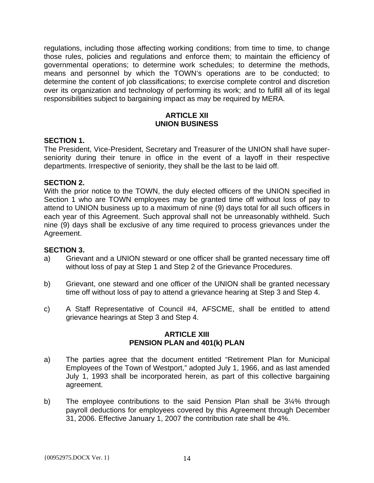regulations, including those affecting working conditions; from time to time, to change those rules, policies and regulations and enforce them; to maintain the efficiency of governmental operations; to determine work schedules; to determine the methods, means and personnel by which the TOWN's operations are to be conducted; to determine the content of job classifications; to exercise complete control and discretion over its organization and technology of performing its work; and to fulfill all of its legal responsibilities subject to bargaining impact as may be required by MERA.

# **ARTICLE XII UNION BUSINESS**

# **SECTION 1.**

The President, Vice-President, Secretary and Treasurer of the UNION shall have superseniority during their tenure in office in the event of a layoff in their respective departments. Irrespective of seniority, they shall be the last to be laid off.

# **SECTION 2.**

With the prior notice to the TOWN, the duly elected officers of the UNION specified in Section 1 who are TOWN employees may be granted time off without loss of pay to attend to UNION business up to a maximum of nine (9) days total for all such officers in each year of this Agreement. Such approval shall not be unreasonably withheld. Such nine (9) days shall be exclusive of any time required to process grievances under the Agreement.

# **SECTION 3.**

- a) Grievant and a UNION steward or one officer shall be granted necessary time off without loss of pay at Step 1 and Step 2 of the Grievance Procedures.
- b) Grievant, one steward and one officer of the UNION shall be granted necessary time off without loss of pay to attend a grievance hearing at Step 3 and Step 4.
- c) A Staff Representative of Council #4, AFSCME, shall be entitled to attend grievance hearings at Step 3 and Step 4.

# **ARTICLE XIII PENSION PLAN and 401(k) PLAN**

- a) The parties agree that the document entitled "Retirement Plan for Municipal Employees of the Town of Westport," adopted July 1, 1966, and as last amended July 1, 1993 shall be incorporated herein, as part of this collective bargaining agreement.
- b) The employee contributions to the said Pension Plan shall be 3¼% through payroll deductions for employees covered by this Agreement through December 31, 2006. Effective January 1, 2007 the contribution rate shall be 4%.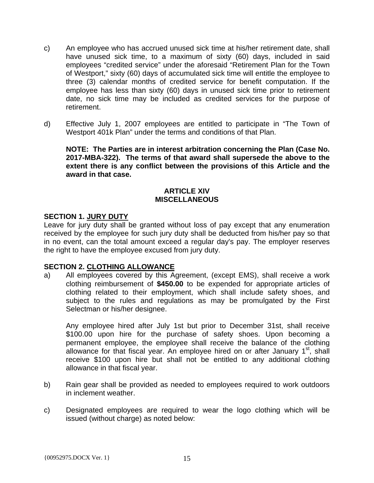- c) An employee who has accrued unused sick time at his/her retirement date, shall have unused sick time, to a maximum of sixty (60) days, included in said employees "credited service" under the aforesaid "Retirement Plan for the Town of Westport," sixty (60) days of accumulated sick time will entitle the employee to three (3) calendar months of credited service for benefit computation. If the employee has less than sixty (60) days in unused sick time prior to retirement date, no sick time may be included as credited services for the purpose of retirement.
- d) Effective July 1, 2007 employees are entitled to participate in "The Town of Westport 401k Plan" under the terms and conditions of that Plan.

**NOTE: The Parties are in interest arbitration concerning the Plan (Case No. 2017-MBA-322). The terms of that award shall supersede the above to the extent there is any conflict between the provisions of this Article and the award in that case.** 

# **ARTICLE XIV MISCELLANEOUS**

# **SECTION 1. JURY DUTY**

Leave for jury duty shall be granted without loss of pay except that any enumeration received by the employee for such jury duty shall be deducted from his/her pay so that in no event, can the total amount exceed a regular day's pay. The employer reserves the right to have the employee excused from jury duty.

# **SECTION 2. CLOTHING ALLOWANCE**

a) All employees covered by this Agreement, (except EMS), shall receive a work clothing reimbursement of **\$450.00** to be expended for appropriate articles of clothing related to their employment, which shall include safety shoes, and subject to the rules and regulations as may be promulgated by the First Selectman or his/her designee.

Any employee hired after July 1st but prior to December 31st, shall receive \$100.00 upon hire for the purchase of safety shoes. Upon becoming a permanent employee, the employee shall receive the balance of the clothing allowance for that fiscal year. An employee hired on or after January  $1<sup>st</sup>$ , shall receive \$100 upon hire but shall not be entitled to any additional clothing allowance in that fiscal year.

- b) Rain gear shall be provided as needed to employees required to work outdoors in inclement weather.
- c) Designated employees are required to wear the logo clothing which will be issued (without charge) as noted below: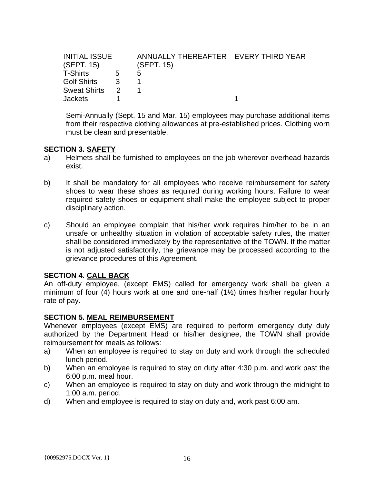| <b>INITIAL ISSUE</b> |             | ANNUALLY THEREAFTER EVERY THIRD YEAR |  |
|----------------------|-------------|--------------------------------------|--|
| (SEPT. 15)           |             | (SEPT. 15)                           |  |
| T-Shirts             | $5^{\circ}$ | 5                                    |  |
| Golf Shirts 3        |             |                                      |  |
| Sweat Shirts 2       |             |                                      |  |
| <b>Jackets</b>       |             |                                      |  |

Semi-Annually (Sept. 15 and Mar. 15) employees may purchase additional items from their respective clothing allowances at pre-established prices. Clothing worn must be clean and presentable.

# **SECTION 3. SAFETY**

- a) Helmets shall be furnished to employees on the job wherever overhead hazards exist.
- b) It shall be mandatory for all employees who receive reimbursement for safety shoes to wear these shoes as required during working hours. Failure to wear required safety shoes or equipment shall make the employee subject to proper disciplinary action.
- c) Should an employee complain that his/her work requires him/her to be in an unsafe or unhealthy situation in violation of acceptable safety rules, the matter shall be considered immediately by the representative of the TOWN. If the matter is not adjusted satisfactorily, the grievance may be processed according to the grievance procedures of this Agreement.

# **SECTION 4. CALL BACK**

An off-duty employee, (except EMS) called for emergency work shall be given a minimum of four (4) hours work at one and one-half (1½) times his/her regular hourly rate of pay.

# **SECTION 5. MEAL REIMBURSEMENT**

Whenever employees (except EMS) are required to perform emergency duty duly authorized by the Department Head or his/her designee, the TOWN shall provide reimbursement for meals as follows:

- a) When an employee is required to stay on duty and work through the scheduled lunch period.
- b) When an employee is required to stay on duty after 4:30 p.m. and work past the 6:00 p.m. meal hour.
- c) When an employee is required to stay on duty and work through the midnight to 1:00 a.m. period.
- d) When and employee is required to stay on duty and, work past 6:00 am.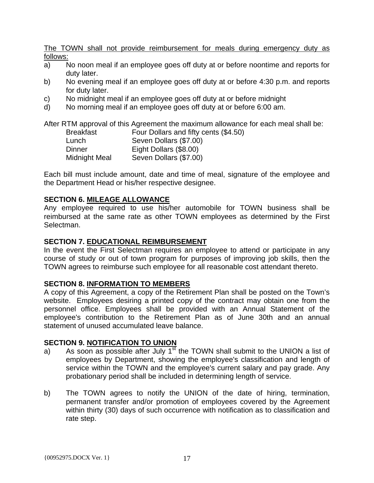The TOWN shall not provide reimbursement for meals during emergency duty as follows:

- a) No noon meal if an employee goes off duty at or before noontime and reports for duty later.
- b) No evening meal if an employee goes off duty at or before 4:30 p.m. and reports for duty later.
- c) No midnight meal if an employee goes off duty at or before midnight
- d) No morning meal if an employee goes off duty at or before 6:00 am.

After RTM approval of this Agreement the maximum allowance for each meal shall be:

| Breakfast     | Four Dollars and fifty cents (\$4.50) |
|---------------|---------------------------------------|
| Lunch         | Seven Dollars (\$7.00)                |
| Dinner        | Eight Dollars (\$8.00)                |
| Midnight Meal | Seven Dollars (\$7.00)                |

Each bill must include amount, date and time of meal, signature of the employee and the Department Head or his/her respective designee.

# **SECTION 6. MILEAGE ALLOWANCE**

Any employee required to use his/her automobile for TOWN business shall be reimbursed at the same rate as other TOWN employees as determined by the First Selectman.

# **SECTION 7. EDUCATIONAL REIMBURSEMENT**

In the event the First Selectman requires an employee to attend or participate in any course of study or out of town program for purposes of improving job skills, then the TOWN agrees to reimburse such employee for all reasonable cost attendant thereto.

# **SECTION 8. INFORMATION TO MEMBERS**

A copy of this Agreement, a copy of the Retirement Plan shall be posted on the Town's website. Employees desiring a printed copy of the contract may obtain one from the personnel office. Employees shall be provided with an Annual Statement of the employee's contribution to the Retirement Plan as of June 30th and an annual statement of unused accumulated leave balance.

# **SECTION 9. NOTIFICATION TO UNION**

- a) As soon as possible after July  $1<sup>st</sup>$  the TOWN shall submit to the UNION a list of employees by Department, showing the employee's classification and length of service within the TOWN and the employee's current salary and pay grade. Any probationary period shall be included in determining length of service.
- b) The TOWN agrees to notify the UNION of the date of hiring, termination, permanent transfer and/or promotion of employees covered by the Agreement within thirty (30) days of such occurrence with notification as to classification and rate step.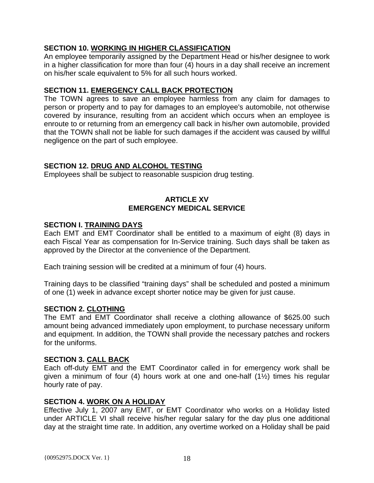# **SECTION 10. WORKING IN HIGHER CLASSIFICATION**

An employee temporarily assigned by the Department Head or his/her designee to work in a higher classification for more than four (4) hours in a day shall receive an increment on his/her scale equivalent to 5% for all such hours worked.

# **SECTION 11. EMERGENCY CALL BACK PROTECTION**

The TOWN agrees to save an employee harmless from any claim for damages to person or property and to pay for damages to an employee's automobile, not otherwise covered by insurance, resulting from an accident which occurs when an employee is enroute to or returning from an emergency call back in his/her own automobile, provided that the TOWN shall not be liable for such damages if the accident was caused by willful negligence on the part of such employee.

# **SECTION 12. DRUG AND ALCOHOL TESTING**

Employees shall be subject to reasonable suspicion drug testing.

# **ARTICLE XV EMERGENCY MEDICAL SERVICE**

# **SECTION I. TRAINING DAYS**

Each EMT and EMT Coordinator shall be entitled to a maximum of eight (8) days in each Fiscal Year as compensation for In-Service training. Such days shall be taken as approved by the Director at the convenience of the Department.

Each training session will be credited at a minimum of four (4) hours.

Training days to be classified "training days" shall be scheduled and posted a minimum of one (1) week in advance except shorter notice may be given for just cause.

#### **SECTION 2. CLOTHING**

The EMT and EMT Coordinator shall receive a clothing allowance of \$625.00 such amount being advanced immediately upon employment, to purchase necessary uniform and equipment. In addition, the TOWN shall provide the necessary patches and rockers for the uniforms.

#### **SECTION 3. CALL BACK**

Each off-duty EMT and the EMT Coordinator called in for emergency work shall be given a minimum of four (4) hours work at one and one-half (1½) times his regular hourly rate of pay.

#### **SECTION 4. WORK ON A HOLIDAY**

Effective July 1, 2007 any EMT, or EMT Coordinator who works on a Holiday listed under ARTICLE VI shall receive his/her regular salary for the day plus one additional day at the straight time rate. In addition, any overtime worked on a Holiday shall be paid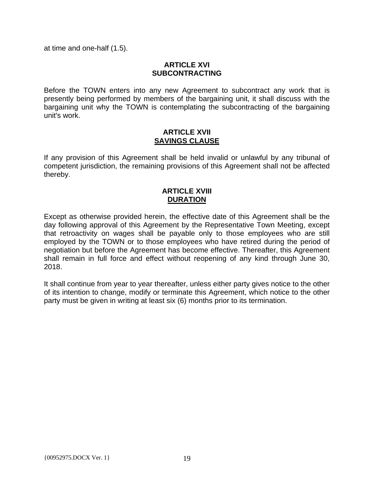at time and one-half (1.5).

# **ARTICLE XVI SUBCONTRACTING**

Before the TOWN enters into any new Agreement to subcontract any work that is presently being performed by members of the bargaining unit, it shall discuss with the bargaining unit why the TOWN is contemplating the subcontracting of the bargaining unit's work.

#### **ARTICLE XVII SAVINGS CLAUSE**

If any provision of this Agreement shall be held invalid or unlawful by any tribunal of competent jurisdiction, the remaining provisions of this Agreement shall not be affected thereby.

# **ARTICLE XVIII DURATION**

Except as otherwise provided herein, the effective date of this Agreement shall be the day following approval of this Agreement by the Representative Town Meeting, except that retroactivity on wages shall be payable only to those employees who are still employed by the TOWN or to those employees who have retired during the period of negotiation but before the Agreement has become effective. Thereafter, this Agreement shall remain in full force and effect without reopening of any kind through June 30, 2018.

It shall continue from year to year thereafter, unless either party gives notice to the other of its intention to change, modify or terminate this Agreement, which notice to the other party must be given in writing at least six (6) months prior to its termination.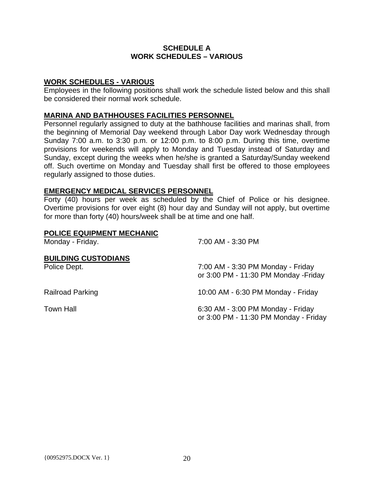# **SCHEDULE A WORK SCHEDULES – VARIOUS**

# **WORK SCHEDULES - VARIOUS**

Employees in the following positions shall work the schedule listed below and this shall be considered their normal work schedule.

# **MARINA AND BATHHOUSES FACILITIES PERSONNEL**

Personnel regularly assigned to duty at the bathhouse facilities and marinas shall, from the beginning of Memorial Day weekend through Labor Day work Wednesday through Sunday 7:00 a.m. to 3:30 p.m. or 12:00 p.m. to 8:00 p.m. During this time, overtime provisions for weekends will apply to Monday and Tuesday instead of Saturday and Sunday, except during the weeks when he/she is granted a Saturday/Sunday weekend off. Such overtime on Monday and Tuesday shall first be offered to those employees regularly assigned to those duties.

# **EMERGENCY MEDICAL SERVICES PERSONNEL**

Forty (40) hours per week as scheduled by the Chief of Police or his designee. Overtime provisions for over eight (8) hour day and Sunday will not apply, but overtime for more than forty (40) hours/week shall be at time and one half.

| POLICE EQUIPMENT MECHANIC<br>Monday - Friday. | 7:00 AM - 3:30 PM                                                          |
|-----------------------------------------------|----------------------------------------------------------------------------|
| <b>BUILDING CUSTODIANS</b><br>Police Dept.    | 7:00 AM - 3:30 PM Monday - Friday<br>or 3:00 PM - 11:30 PM Monday - Friday |
| <b>Railroad Parking</b>                       | 10:00 AM - 6:30 PM Monday - Friday                                         |
| <b>Town Hall</b>                              | 6:30 AM - 3:00 PM Monday - Friday<br>or 3:00 PM - 11:30 PM Monday - Friday |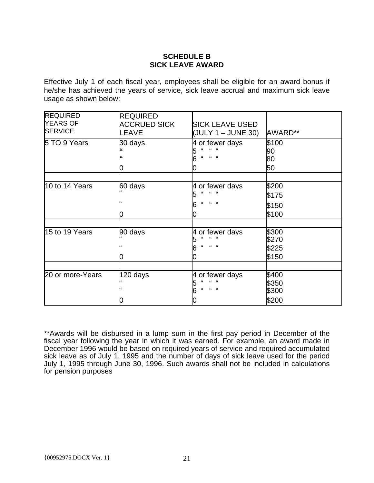# **SCHEDULE B SICK LEAVE AWARD**

Effective July 1 of each fiscal year, employees shall be eligible for an award bonus if he/she has achieved the years of service, sick leave accrual and maximum sick leave usage as shown below:

| <b>REQUIRED</b><br><b>YEARS OF</b><br><b>SERVICE</b> | <b>REQUIRED</b><br><b>ACCRUED SICK</b><br>LEAVE | <b>SICK LEAVE USED</b><br>(JULY 1 – JUNE 30)                                                     | AWARD**                          |
|------------------------------------------------------|-------------------------------------------------|--------------------------------------------------------------------------------------------------|----------------------------------|
| 5 TO 9 Years                                         | 30 days<br>0                                    | 4 or fewer days<br>$\alpha$ $\alpha$                                                             | \$100<br>90<br>80<br>50          |
| 10 to 14 Years                                       | 60 days<br>0                                    | 4 or fewer days<br>$\epsilon$<br>$\epsilon$<br>$\sim$<br>$\mathbf{G}$ $\mathbf{G}$<br>$\epsilon$ | \$200<br>\$175<br>\$150<br>\$100 |
| 15 to 19 Years                                       | 90 days<br>0                                    | 4 or fewer days<br>"<br>$\mathbf{f}$<br>$\overline{\mathbf{66}}$                                 | \$300<br>\$270<br>\$225<br>\$150 |
| 20 or more-Years                                     | 120 days                                        | 4 or fewer days<br>$\alpha - \alpha$<br>$\epsilon$<br>$66 - 66$<br>$\epsilon$                    | \$400<br>\$350<br>\$300<br>\$200 |

\*\*Awards will be disbursed in a lump sum in the first pay period in December of the fiscal year following the year in which it was earned. For example, an award made in December 1996 would be based on required years of service and required accumulated sick leave as of July 1, 1995 and the number of days of sick leave used for the period July 1, 1995 through June 30, 1996. Such awards shall not be included in calculations for pension purposes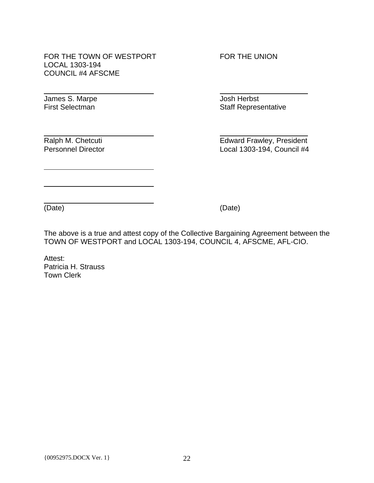FOR THE TOWN OF WESTPORT FOR THE UNION LOCAL 1303-194 COUNCIL #4 AFSCME

James S. Marpe Josh Herbst

l

l

l

l

First Selectman **Staff Representative** Staff Representative

Ralph M. Chetcuti **Edward Frawley, President** Personnel Director Local 1303-194, Council #4

l

(Date) (Date)

The above is a true and attest copy of the Collective Bargaining Agreement between the TOWN OF WESTPORT and LOCAL 1303-194, COUNCIL 4, AFSCME, AFL-CIO.

Attest: Patricia H. Strauss Town Clerk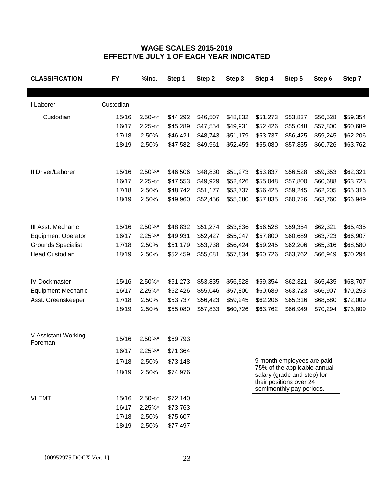# **WAGE SCALES 2015-2019 EFFECTIVE JULY 1 OF EACH YEAR INDICATED**

| <b>CLASSIFICATION</b>     | <b>FY</b> | %Inc.  | Step 1   | Step 2   | Step 3   | Step 4                                                                             | Step 5                       | Step 6   | Step 7   |
|---------------------------|-----------|--------|----------|----------|----------|------------------------------------------------------------------------------------|------------------------------|----------|----------|
|                           |           |        |          |          |          |                                                                                    |                              |          |          |
| I Laborer                 | Custodian |        |          |          |          |                                                                                    |                              |          |          |
| Custodian                 | 15/16     | 2.50%* | \$44,292 | \$46,507 | \$48,832 | \$51,273                                                                           | \$53,837                     | \$56,528 | \$59,354 |
|                           | 16/17     | 2.25%* | \$45,289 | \$47,554 | \$49,931 | \$52,426                                                                           | \$55,048                     | \$57,800 | \$60,689 |
|                           | 17/18     | 2.50%  | \$46,421 | \$48,743 | \$51,179 | \$53,737                                                                           | \$56,425                     | \$59,245 | \$62,206 |
|                           | 18/19     | 2.50%  | \$47,582 | \$49,961 | \$52,459 | \$55,080                                                                           | \$57,835                     | \$60,726 | \$63,762 |
| II Driver/Laborer         | 15/16     | 2.50%* | \$46,506 | \$48,830 | \$51,273 | \$53,837                                                                           | \$56,528                     | \$59,353 | \$62,321 |
|                           | 16/17     | 2.25%* | \$47,553 | \$49,929 | \$52,426 | \$55,048                                                                           | \$57,800                     | \$60,688 | \$63,723 |
|                           | 17/18     | 2.50%  | \$48,742 | \$51,177 | \$53,737 | \$56,425                                                                           | \$59,245                     | \$62,205 | \$65,316 |
|                           | 18/19     | 2.50%  | \$49,960 | \$52,456 | \$55,080 | \$57,835                                                                           | \$60,726                     | \$63,760 | \$66,949 |
|                           |           |        |          |          |          |                                                                                    |                              |          |          |
| III Asst. Mechanic        | 15/16     | 2.50%* | \$48,832 | \$51,274 | \$53,836 | \$56,528                                                                           | \$59,354                     | \$62,321 | \$65,435 |
| <b>Equipment Operator</b> | 16/17     | 2.25%* | \$49,931 | \$52,427 | \$55,047 | \$57,800                                                                           | \$60,689                     | \$63,723 | \$66,907 |
| <b>Grounds Specialist</b> | 17/18     | 2.50%  | \$51,179 | \$53,738 | \$56,424 | \$59,245                                                                           | \$62,206                     | \$65,316 | \$68,580 |
| <b>Head Custodian</b>     | 18/19     | 2.50%  | \$52,459 | \$55,081 | \$57,834 | \$60,726                                                                           | \$63,762                     | \$66,949 | \$70,294 |
| <b>IV Dockmaster</b>      | 15/16     | 2.50%* | \$51,273 | \$53,835 | \$56,528 | \$59,354                                                                           | \$62,321                     | \$65,435 | \$68,707 |
| <b>Equipment Mechanic</b> | 16/17     | 2.25%* | \$52,426 | \$55,046 | \$57,800 | \$60,689                                                                           | \$63,723                     | \$66,907 | \$70,253 |
| Asst. Greenskeeper        | 17/18     | 2.50%  | \$53,737 | \$56,423 | \$59,245 | \$62,206                                                                           | \$65,316                     | \$68,580 | \$72,009 |
|                           | 18/19     | 2.50%  | \$55,080 | \$57,833 | \$60,726 | \$63,762                                                                           | \$66,949                     | \$70,294 | \$73,809 |
| V Assistant Working       | 15/16     | 2.50%* | \$69,793 |          |          |                                                                                    |                              |          |          |
| Foreman                   | 16/17     | 2.25%* | \$71,364 |          |          |                                                                                    |                              |          |          |
|                           | 17/18     | 2.50%  | \$73,148 |          |          |                                                                                    | 9 month employees are paid   |          |          |
|                           |           |        |          |          |          |                                                                                    | 75% of the applicable annual |          |          |
|                           | 18/19     | 2.50%  | \$74,976 |          |          | salary (grade and step) for<br>their positions over 24<br>semimonthly pay periods. |                              |          |          |
| VI EMT                    | 15/16     | 2.50%* | \$72,140 |          |          |                                                                                    |                              |          |          |
|                           | 16/17     | 2.25%* | \$73,763 |          |          |                                                                                    |                              |          |          |
|                           | 17/18     | 2.50%  | \$75,607 |          |          |                                                                                    |                              |          |          |
|                           | 18/19     | 2.50%  | \$77,497 |          |          |                                                                                    |                              |          |          |